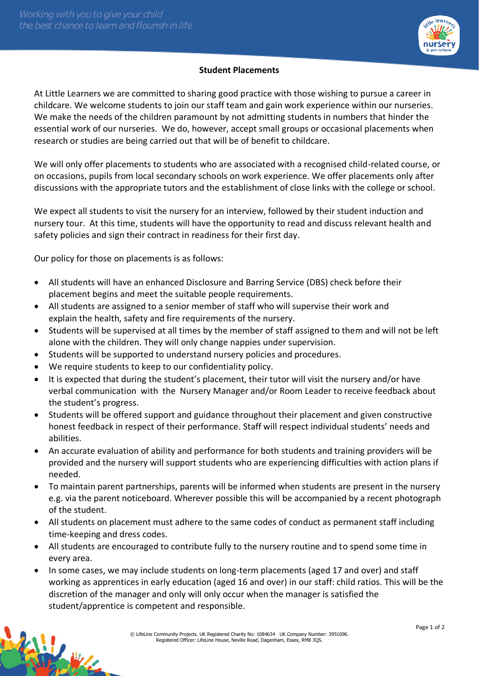

## **Student Placements**

At Little Learners we are committed to sharing good practice with those wishing to pursue a career in childcare. We welcome students to join our staff team and gain work experience within our nurseries. We make the needs of the children paramount by not admitting students in numbers that hinder the essential work of our nurseries. We do, however, accept small groups or occasional placements when research or studies are being carried out that will be of benefit to childcare.

We will only offer placements to students who are associated with a recognised child-related course, or on occasions, pupils from local secondary schools on work experience. We offer placements only after discussions with the appropriate tutors and the establishment of close links with the college or school.

We expect all students to visit the nursery for an interview, followed by their student induction and nursery tour. At this time, students will have the opportunity to read and discuss relevant health and safety policies and sign their contract in readiness for their first day.

Our policy for those on placements is as follows:

- All students will have an enhanced Disclosure and Barring Service (DBS) check before their placement begins and meet the suitable people requirements.
- All students are assigned to a senior member of staff who will supervise their work and explain the health, safety and fire requirements of the nursery.
- Students will be supervised at all times by the member of staff assigned to them and will not be left alone with the children. They will only change nappies under supervision.
- Students will be supported to understand nursery policies and procedures.
- We require students to keep to our confidentiality policy.
- It is expected that during the student's placement, their tutor will visit the nursery and/or have verbal communication with the Nursery Manager and/or Room Leader to receive feedback about the student's progress.
- Students will be offered support and guidance throughout their placement and given constructive honest feedback in respect of their performance. Staff will respect individual students' needs and abilities.
- An accurate evaluation of ability and performance for both students and training providers will be provided and the nursery will support students who are experiencing difficulties with action plans if needed.
- To maintain parent partnerships, parents will be informed when students are present in the nursery e.g. via the parent noticeboard. Wherever possible this will be accompanied by a recent photograph of the student.
- All students on placement must adhere to the same codes of conduct as permanent staff including time-keeping and dress codes.
- All students are encouraged to contribute fully to the nursery routine and to spend some time in every area.
- In some cases, we may include students on long-term placements (aged 17 and over) and staff working as apprentices in early education (aged 16 and over) in our staff: child ratios. This will be the discretion of the manager and only will only occur when the manager is satisfied the student/apprentice is competent and responsible.